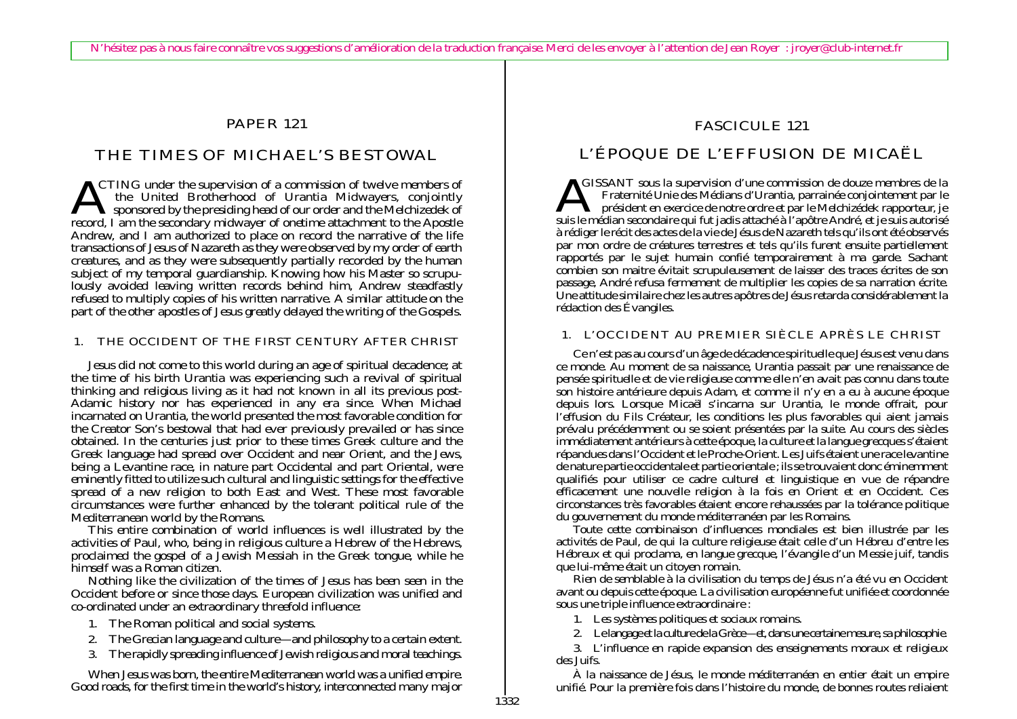## PAPER 121

# THE TIMES OF MICHAEL'S BESTOWAL

**ACTING** under the supervision of a commission of twelve members of the United Brotherhood of Urantia Midwayers, conjointly sponsored by the presiding head of our order and the Melchizedek of the United Brotherhood of Urantia Midwayers, conjointly sponsored by the presiding head of our order and the Melchizedek of record, I am the secondary midwayer of onetime attachment to the Apostle Andrew, and I am authorized to place on record the narrative of the life transactions of Jesus of Nazareth as they were observed by my order of earth creatures, and as they were subsequently partially recorded by the human subject of my temporal guardianship. Knowing how his Master so scrupulously avoided leaving written records behind him, Andrew steadfastly refused to multiply copies of his written narrative. A similar attitude on the part of the other apostles of Jesus greatly delayed the writing of the Gospels.

## 1. THE OCCIDENT OF THE FIRST CENTURY AFTER CHRIST

Jesus did not come to this world during an age of spiritual decadence; at the time of his birth Urantia was experiencing such a revival of spiritual thinking and religious living as it had not known in all its previous post-Adamic history nor has experienced in any era since. When Michael incarnated on Urantia, the world presented the most favorable condition for the Creator Son's bestowal that had ever previously prevailed or has since obtained. In the centuries just prior to these times Greek culture and the Greek language had spread over Occident and near Orient, and the Jews, being a Levantine race, in nature part Occidental and part Oriental, were eminently fitted to utilize such cultural and linguistic settings for the effective spread of a new religion to both East and West. These most favorable circumstances were further enhanced by the tolerant political rule of the Mediterranean world by the Romans.

This entire combination of world influences is well illustrated by the activities of Paul, who, being in religious culture a Hebrew of the Hebrews, proclaimed the gospel of a Jewish Messiah in the Greek tongue, while he himself was a Roman citizen.

Nothing like the civilization of the times of Jesus has been seen in the Occident before or since those days. European civilization was unified and co-ordinated under an extraordinary threefold influence:

- 1. The Roman political and social systems.
- 2. The Grecian language and culture—and philosophy to a certain extent.
- 3. The rapidly spreading influence of Jewish religious and moral teachings.

When Jesus was born, the entire Mediterranean world was a unified empire. Good roads, for the first time in the world's history, interconnected many major

## FASCICULE 121

# L'ÉPOQUE DE L'EFFUSION DE MICAËL

GISSANT sous la supervision d'une commission de douze membres de la Fraternité Unie des Médians d'Urantia, parrainée conjointement par le président en exercice de notre ordre et par le Melchizédek rapporteur, je suis le médian secondaire qui fut jadis attaché à l'apôtre André, et je suis autorisé à rédiger le récit des actes de la vie de Jésus de Nazareth tels qu'ils ont été observés par mon ordre de créatures terrestres et tels qu'ils furent ensuite partiellement rapportés par le sujet humain confié temporairement à ma garde. Sachant combien son maitre évitait scrupuleusement de laisser des traces écrites de son passage, André refusa fermement de multiplier les copies de sa narration écrite. Une attitude similaire chez les autres apôtres de Jésus retarda considérablement la rédaction des Évangiles.  ${\bf A}^{\!\scriptscriptstyle{\rm G}}$ 

## 1. L'OCCIDENT AU PREMIER SIÈCLE APRÈS LE CHRIST

Ce n'est pas au cours d'un âge de décadence spirituelle que Jésus est venu dans ce monde. Au moment de sa naissance, Urantia passait par une renaissance de pensée spirituelle et de vie religieuse comme elle n'en avait pas connu dans toute son histoire antérieure depuis Adam, et comme il n'y en a eu à aucune époque depuis lors. Lorsque Micaël s'incarna sur Urantia, le monde offrait, pour l'effusion du Fils Créateur, les conditions les plus favorables qui aient jamais prévalu précédemment ou se soient présentées par la suite. Au cours des siècles immédiatement antérieurs à cette époque, la culture et la langue grecques s'étaient répandues dans l'Occident et le Proche-Orient. Les Juifs étaient une race levantine de nature partie occidentale et partie orientale ; ils se trouvaient donc éminemment qualifiés pour utiliser ce cadre culturel et linguistique en vue de répandre efficacement une nouvelle religion à la fois en Orient et en Occident. Ces circonstances très favorables étaient encore rehaussées par la tolérance politique du gouvernement du monde méditerranéen par les Romains.

Toute cette combinaison d'influences mondiales est bien illustrée par les activités de Paul, de qui la culture religieuse était celle d'un Hébreu d'entre les Hébreux et qui proclama, en langue grecque, l'évangile d'un Messie juif, tandis que lui-même était un citoyen romain.

Rien de semblable à la civilisation du temps de Jésus n'a été vu en Occident avant ou depuis cette époque. La civilisation européenne fut unifiée et coordonnée sous une triple influence extraordinaire :

1. Les systèmes politiques et sociaux romains.

2. Le langage et la culture de la Grèce—et, dans une certaine mesure, sa philosophie.

3. L'influence en rapide expansion des enseignements moraux et religieux des Juifs.

À la naissance de Jésus, le monde méditerranéen en entier était un empire unifié. Pour la première fois dans l'histoire du monde, de bonnes routes reliaient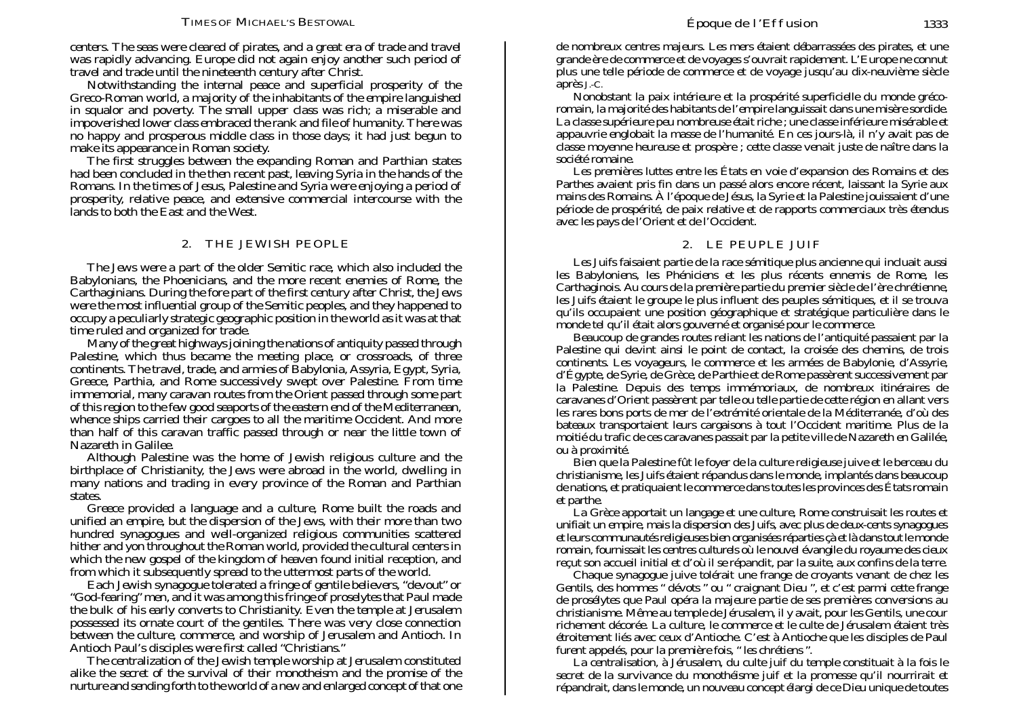centers. The seas were cleared of pirates, and a great era of trade and travel was rapidly advancing. Europe did not again enjoy another such period of travel and trade until the nineteenth century after Christ.

Notwithstanding the internal peace and superficial prosperity of the Greco-Roman world, a majority of the inhabitants of the empire languished in squalor and poverty. The small upper class was rich; a miserable and impoverished lower class embraced the rank and file of humanity. There was no happy and prosperous middle class in those days; it had just begun to make its appearance in Roman society.

The first struggles between the expanding Roman and Parthian states had been concluded in the then recent past, leaving Syria in the hands of the Romans. In the times of Jesus, Palestine and Syria were enjoying a period of prosperity, relative peace, and extensive commercial intercourse with the lands to both the East and the West.

## 2. THE JEWISH PEOPLE

The Jews were a part of the older Semitic race, which also included the Babylonians, the Phoenicians, and the more recent enemies of Rome, the Carthaginians. During the fore part of the first century after Christ, the Jews were the most influential group of the Semitic peoples, and they happened to occupy a peculiarly strategic geographic position in the world as it was at that time ruled and organized for trade.

Many of the great highways joining the nations of antiquity passed through Palestine, which thus became the meeting place, or crossroads, of three continents. The travel, trade, and armies of Babylonia, Assyria, Egypt, Syria, Greece, Parthia, and Rome successively swept over Palestine. From time immemorial, many caravan routes from the Orient passed through some part of this region to the few good seaports of the eastern end of the Mediterranean, whence ships carried their cargoes to all the maritime Occident. And more than half of this caravan traffic passed through or near the little town of Nazareth in Galilee.

Although Palestine was the home of Jewish religious culture and the birthplace of Christianity, the Jews were abroad in the world, dwelling in many nations and trading in every province of the Roman and Parthian states.

Greece provided a language and a culture, Rome built the roads and unified an empire, but the dispersion of the Jews, with their more than two hundred synagogues and well-organized religious communities scattered hither and yon throughout the Roman world, provided the cultural centers in which the new gospel of the kingdom of heaven found initial reception, and from which it subsequently spread to the uttermost parts of the world.

Each Jewish synagogue tolerated a fringe of gentile believers, "devout" or "God-fearing" men, and it was among this fringe of proselytes that Paul made the bulk of his early converts to Christianity. Even the temple at Jerusalem possessed its ornate court of the gentiles. There was very close connection between the culture, commerce, and worship of Jerusalem and Antioch. In Antioch Paul's disciples were first called "Christians."

The centralization of the Jewish temple worship at Jerusalem constituted alike the secret of the survival of their monotheism and the promise of the nurture and sending forth to the world of a new and enlarged concept of that one de nombreux centres majeurs. Les mers étaient débarrassées des pirates, et une grande ère de commerce et de voyages s'ouvrait rapidement. L'Europe ne connut plus une telle période de commerce et de voyage jusqu'au dix-neuvième siècle après J.-C.

Nonobstant la paix intérieure et la prospérité superficielle du monde grécoromain, la majorité des habitants de l'empire languissait dans une misère sordide. La classe supérieure peu nombreuse était riche ; une classe inférieure misérable et appauvrie englobait la masse de l'humanité. En ces jours-là, il n'y avait pas de classe moyenne heureuse et prospère ; cette classe venait juste de naître dans la société romaine.

Les premières luttes entre les États en voie d'expansion des Romains et des Parthes avaient pris fin dans un passé alors encore récent, laissant la Syrie aux mains des Romains. À l'époque de Jésus, la Syrie et la Palestine jouissaient d'une période de prospérité, de paix relative et de rapports commerciaux très étendus avec les pays de l'Orient et de l'Occident.

## 2. LE PEUPLE JUIF

Les Juifs faisaient partie de la race sémitique plus ancienne qui incluait aussi les Babyloniens, les Phéniciens et les plus récents ennemis de Rome, les Carthaginois. Au cours de la première partie du premier siècle de l'ère chrétienne, les Juifs étaient le groupe le plus influent des peuples sémitiques, et il se trouva qu'ils occupaient une position géographique et stratégique particulière dans le monde tel qu'il était alors gouverné et organisé pour le commerce.

Beaucoup de grandes routes reliant les nations de l'antiquité passaient par la Palestine qui devint ainsi le point de contact, la croisée des chemins, de trois continents. Les voyageurs, le commerce et les armées de Babylonie, d'Assyrie, d'Égypte, de Syrie, de Grèce, de Parthie et de Rome passèrent successivement par la Palestine. Depuis des temps immémoriaux, de nombreux itinéraires de caravanes d'Orient passèrent par telle ou telle partie de cette région en allant vers les rares bons ports de mer de l'extrémité orientale de la Méditerranée, d'où des bateaux transportaient leurs cargaisons à tout l'Occident maritime. Plus de la moitié du trafic de ces caravanes passait par la petite ville de Nazareth en Galilée, ou à proximité.

Bien que la Palestine fût le foyer de la culture religieuse juive et le berceau du christianisme, les Juifs étaient répandus dans le monde, implantés dans beaucoup de nations, et pratiquaient le commerce dans toutes les provinces des États romain et parthe.

La Grèce apportait un langage et une culture, Rome construisait les routes et unifiait un empire, mais la dispersion des Juifs, avec plus de deux-cents synagogues et leurs communautés religieuses bien organisées réparties çà et là dans tout le monde romain, fournissait les centres culturels où le nouvel évangile du royaume des cieux reçut son accueil initial et d'où il se répandit, par la suite, aux confins de la terre.

Chaque synagogue juive tolérait une frange de croyants venant de chez les Gentils, des hommes " dévots " ou " craignant Dieu ", et c'est parmi cette frange de prosélytes que Paul opéra la majeure partie de ses premières conversions au christianisme. Même au temple de Jérusalem, il y avait, pour les Gentils, une cour richement décorée. La culture, le commerce et le culte de Jérusalem étaient très étroitement liés avec ceux d'Antioche. C'est à Antioche que les disciples de Paul furent appelés, pour la première fois, " les chrétiens ".

La centralisation, à Jérusalem, du culte juif du temple constituait à la fois le secret de la survivance du monothéisme juif et la promesse qu'il nourrirait et répandrait, dans le monde, un nouveau concept élargi de ce Dieu unique de toutes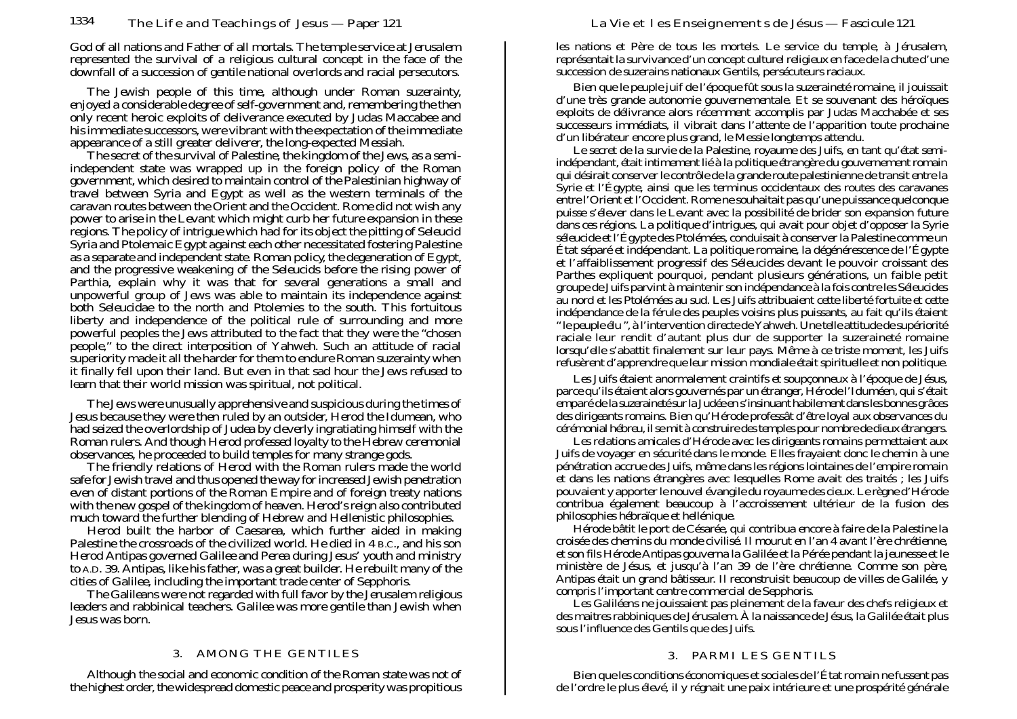God of all nations and Father of all mortals. The temple service at Jerusalem represented the survival of a religious cultural concept in the face of the downfall of a succession of gentile national overlords and racial persecutors.

The Jewish people of this time, although under Roman suzerainty, enjoyed a considerable degree of self-government and, remembering the then only recent heroic exploits of deliverance executed by Judas Maccabee and his immediate successors, were vibrant with the expectation of the immediate appearance of a still greater deliverer, the long-expected Messiah.

The secret of the survival of Palestine, the kingdom of the Jews, as a semiindependent state was wrapped up in the foreign policy of the Roman government, which desired to maintain control of the Palestinian highway of travel between Syria and Egypt as well as the western terminals of the caravan routes between the Orient and the Occident. Rome did not wish any power to arise in the Levant which might curb her future expansion in these regions. The policy of intrigue which had for its object the pitting of Seleucid Syria and Ptolemaic Egypt against each other necessitated fostering Palestine as a separate and independent state. Roman policy, the degeneration of Egypt, and the progressive weakening of the Seleucids before the rising power of Parthia, explain why it was that for several generations a small and unpowerful group of Jews was able to maintain its independence against both Seleucidae to the north and Ptolemies to the south. This fortuitous liberty and independence of the political rule of surrounding and more powerful peoples the Jews attributed to the fact that they were the "chosen people," to the direct interposition of Yahweh. Such an attitude of racial superiority made it all the harder for them to endure Roman suzerainty when it finally fell upon their land. But even in that sad hour the Jews refused to learn that their world mission was spiritual, not political.

The Jews were unusually apprehensive and suspicious during the times of Jesus because they were then ruled by an outsider, Herod the Idumean, who had seized the overlordship of Judea by cleverly ingratiating himself with the Roman rulers. And though Herod professed loyalty to the Hebrew ceremonial observances, he proceeded to build temples for many strange gods.

The friendly relations of Herod with the Roman rulers made the world safe for Jewish travel and thus opened the way for increased Jewish penetration even of distant portions of the Roman Empire and of foreign treaty nations with the new gospel of the kingdom of heaven. Herod's reign also contributed much toward the further blending of Hebrew and Hellenistic philosophies.

Herod built the harbor of Caesarea, which further aided in making Palestine the crossroads of the civilized world. He died in 4 B.C., and his son Herod Antipas governed Galilee and Perea during Jesus' youth and ministry to A.D. 39. Antipas, like his father, was a great builder. He rebuilt many of the cities of Galilee, including the important trade center of Sepphoris.

The Galileans were not regarded with full favor by the Jerusalem religious leaders and rabbinical teachers. Galilee was more gentile than Jewish when Jesus was born.

## 3. AMONG THE GENTILES

Although the social and economic condition of the Roman state was not of the highest order, the widespread domestic peace and prosperity was propitious les nations et Père de tous les mortels. Le service du temple, à Jérusalem, représentait la survivance d'un concept culturel religieux en face de la chute d'une succession de suzerains nationaux Gentils, persécuteurs raciaux.

Bien que le peuple juif de l'époque fût sous la suzeraineté romaine, il jouissait d'une très grande autonomie gouvernementale. Et se souvenant des héroïques exploits de délivrance alors récemment accomplis par Judas Macchabée et ses successeurs immédiats, il vibrait dans l'attente de l'apparition toute prochaine d'un libérateur encore plus grand, le Messie longtemps attendu.

Le secret de la survie de la Palestine, royaume des Juifs, en tant qu'état semiindépendant, était intimement lié à la politique étrangère du gouvernement romain qui désirait conserver le contrôle de la grande route palestinienne de transit entre la Syrie et l'Égypte, ainsi que les terminus occidentaux des routes des caravanes entre l'Orient et l'Occident. Rome ne souhaitait pas qu'une puissance quelconque puisse s'élever dans le Levant avec la possibilité de brider son expansion future dans ces régions. La politique d'intrigues, qui avait pour objet d'opposer la Syrie<br>séleucide et l'Égypte des Ptolémées, conduisait à conserver la Palestine comme un<br>État séparé et indépendant. La politique romaine, la dég et l'affaiblissement progressif des Séleucides devant le pouvoir croissant des Parthes expliquent pourquoi, pendant plusieurs générations, un faible petit groupe de Juifs parvint à maintenir son indépendance à la fois contre les Séleucides au nord et les Ptolémées au sud. Les Juifs attribuaient cette liberté fortuite et cette indépendance de la férule des peuples voisins plus puissants, au fait qu'ils étaient " le peuple élu ", à l'intervention directe de Yahweh. Une telle attitude de supériorité raciale leur rendit d'autant plus dur de supporter la suzeraineté romaine lorsqu'elle s'abattit finalement sur leur pays. Même à ce triste moment, les Juifs refusèrent d'apprendre que leur mission mondiale était spirituelle et non politique.

Les Juifs étaient anormalement craintifs et soupçonneux à l'époque de Jésus, parce qu'ils étaient alors gouvernés par un étranger, Hérode l'Iduméen, qui s'était emparé de la suzeraineté sur la Judée en s'insinuant habilement dans les bonnes grâces des dirigeants romains. Bien qu'Hérode professât d'être loyal aux observances du cérémonial hébreu, il se mit à construire des temples pour nombre de dieux étrangers.

Les relations amicales d'Hérode avec les dirigeants romains permettaient aux Juifs de voyager en sécurité dans le monde. Elles frayaient donc le chemin à une pénétration accrue des Juifs, même dans les régions lointaines de l'empire romain et dans les nations étrangères avec lesquelles Rome avait des traités ; les Juifs pouvaient y apporter le nouvel évangile du royaume des cieux. Le règne d'Hérode contribua également beaucoup à l'accroissement ultérieur de la fusion des philosophies hébraïque et hellénique.

Hérode bâtit le port de Césarée, qui contribua encore à faire de la Palestine la croisée des chemins du monde civilisé. Il mourut en l'an 4 avant l'ère chrétienne, et son fils Hérode Antipas gouverna la Galilée et la Pérée pendant la jeunesse et le ministère de Jésus, et jusqu'à l'an 39 de l'ère chrétienne. Comme son père, Antipas était un grand bâtisseur. Il reconstruisit beaucoup de villes de Galilée, y compris l'important centre commercial de Sepphoris.

Les Galiléens ne jouissaient pas pleinement de la faveur des chefs religieux et des maitres rabbiniques de Jérusalem. À la naissance de Jésus, la Galilée était plus sous l'influence des Gentils que des Juifs.

## 3. PARMI LES GENTILS

Bien que les conditions économiques et sociales de l'État romain ne fussent pas de l'ordre le plus élevé, il y régnait une paix intérieure et une prospérité générale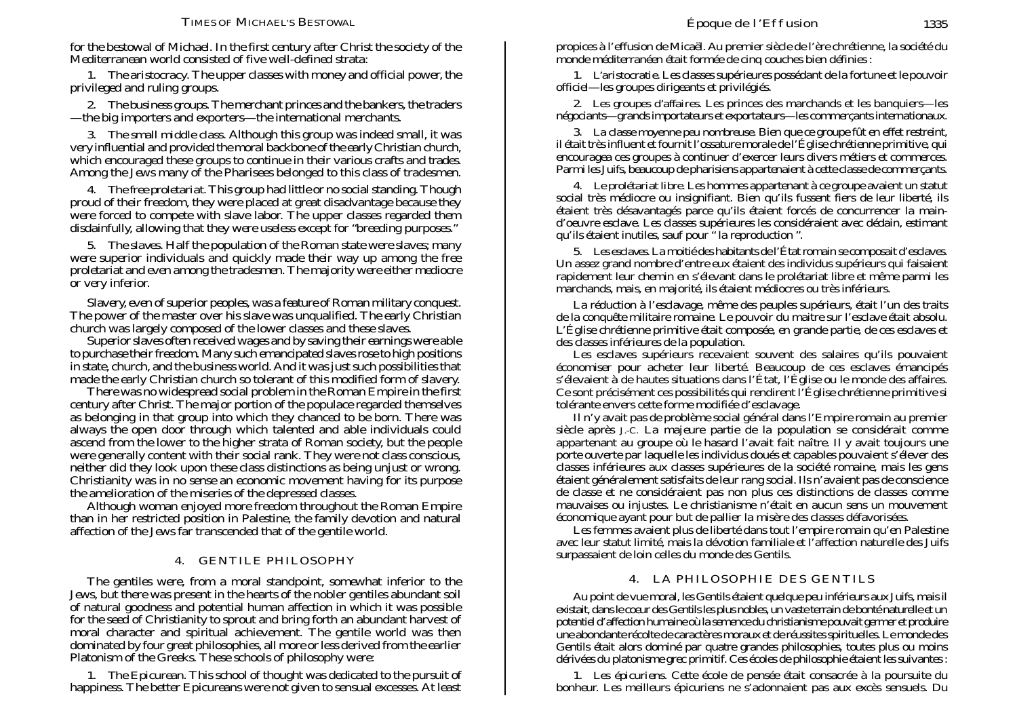for the bestowal of Michael. In the first century after Christ the society of the Mediterranean world consisted of five well-defined strata:

1. *The aristocracy.* The upper classes with money and official power, the privileged and ruling groups.

2. *The business groups.* The merchant princes and the bankers, the traders —the big importers and exporters—the international merchants.

3. *The small middle class.* Although this group was indeed small, it was very influential and provided the moral backbone of the early Christian church, which encouraged these groups to continue in their various crafts and trades. Among the Jews many of the Pharisees belonged to this class of tradesmen.

4. *The free proletariat.* This group had little or no social standing. Though proud of their freedom, they were placed at great disadvantage because they were forced to compete with slave labor. The upper classes regarded them disdainfully, allowing that they were useless except for "breeding purposes."

5. *The slaves.* Half the population of the Roman state were slaves; many were superior individuals and quickly made their way up among the free proletariat and even among the tradesmen. The majority were either mediocre or very inferior.

Slavery, even of superior peoples, was a feature of Roman military conquest. The power of the master over his slave was unqualified. The early Christian church was largely composed of the lower classes and these slaves.

Superior slaves often received wages and by saving their earnings were able to purchase their freedom. Many such emancipated slaves rose to high positions in state, church, and the business world. And it was just such possibilities that made the early Christian church so tolerant of this modified form of slavery.

There was no widespread social problem in the Roman Empire in the first century after Christ. The major portion of the populace regarded themselves as belonging in that group into which they chanced to be born. There was always the open door through which talented and able individuals could ascend from the lower to the higher strata of Roman society, but the people were generally content with their social rank. They were not class conscious, neither did they look upon these class distinctions as being unjust or wrong. Christianity was in no sense an economic movement having for its purpose the amelioration of the miseries of the depressed classes.

Although woman enjoyed more freedom throughout the Roman Empire than in her restricted position in Palestine, the family devotion and natural affection of the Jews far transcended that of the gentile world.

## 4. GENTILE PHILOSOPHY

The gentiles were, from a moral standpoint, somewhat inferior to the Jews, but there was present in the hearts of the nobler gentiles abundant soil of natural goodness and potential human affection in which it was possible for the seed of Christianity to sprout and bring forth an abundant harvest of moral character and spiritual achievement. The gentile world was then dominated by four great philosophies, all more or less derived from the earlier Platonism of the Greeks. These schools of philosophy were:

1. *The Epicurean.* This school of thought was dedicated to the pursuit of happiness. The better Epicureans were not given to sensual excesses. At least propices à l'effusion de Micaël. Au premier siècle de l'ère chrétienne, la société du monde méditerranéen était formée de cinq couches bien définies :

1. *L'aristocratie.* Les classes supérieures possédant de la fortune et le pouvoir officiel—les groupes dirigeants et privilégiés.

2. *Les groupes d'affaires.* Les princes des marchands et les banquiers—les négociants—grands importateurs et exportateurs—les commerçants internationaux.

<sup>3</sup>. *La classe moyenne peu nombreuse.* Bien que ce groupe fût en effet restreint, il était très influent et fournit l'ossature morale de l'Église chrétienne primitive, qui encouragea ces groupes à continuer d'exercer leurs divers métiers et commerces. Parmi les Juifs, beaucoup de pharisiens appartenaient à cette classe de commerçants.

4. *Le prolétariat libre.* Les hommes appartenant à ce groupe avaient un statut social très médiocre ou insignifiant. Bien qu'ils fussent fiers de leur liberté, ils étaient très désavantagés parce qu'ils étaient forcés de concurrencer la maind'oeuvre esclave. Les classes supérieures les considéraient avec dédain, estimant qu'ils étaient inutiles, sauf pour " la reproduction ".

5. *Les esclaves.* La moitié des habitants de l'État romain se composait d'esclaves. Un assez grand nombre d'entre eux étaient des individus supérieurs qui faisaient rapidement leur chemin en s'élevant dans le prolétariat libre et même parmi les marchands, mais, en majorité, ils étaient médiocres ou très inférieurs.

La réduction à l'esclavage, même des peuples supérieurs, était l'un des traits de la conquête militaire romaine. Le pouvoir du maitre sur l'esclave était absolu. L'Église chrétienne primitive était composée, en grande partie, de ces esclaves et des classes inférieures de la population.

Les esclaves supérieurs recevaient souvent des salaires qu'ils pouvaient économiser pour acheter leur liberté. Beaucoup de ces esclaves émancipés s'élevaient à de hautes situations dans l'État, l'Église ou le monde des affaires.<br>Ce sont précisément ces possibilités qui rendirent l'Église chrétienne primitive si tolérante envers cette forme modifiée d'esclavage.

Il n'y avait pas de problème social général dans l'Empire romain au premier siècle après J.-C. La majeure partie de la population se considérait comme appartenant au groupe où le hasard l'avait fait naître. Il y avait toujours une porte ouverte par laquelle les individus doués et capables pouvaient s'élever des classes inférieures aux classes supérieures de la société romaine, mais les gens étaient généralement satisfaits de leur rang social. Ils n'avaient pas de conscience de classe et ne considéraient pas non plus ces distinctions de classes comme mauvaises ou injustes. Le christianisme n'était en aucun sens un mouvement économique ayant pour but de pallier la misère des classes défavorisées.

Les femmes avaient plus de liberté dans tout l'empire romain qu'en Palestine avec leur statut limité, mais la dévotion familiale et l'affection naturelle des Juifs surpassaient de loin celles du monde des Gentils.

## 4. LA PHILOSOPHIE DES GENTILS

Au point de vue moral, les Gentils étaient quelque peu inférieurs aux Juifs, mais il existait, dans le coeur des Gentils les plus nobles, un vaste terrain de bonté naturelle et un potentiel d'affection humaine où la semence du christianisme pouvait germer et produire une abondante récolte de caractères moraux et de réussites spirituelles. Le monde des Gentils était alors dominé par quatre grandes philosophies, toutes plus ou moins dérivées du platonisme grec primitif. Ces écoles de philosophie étaient les suivantes :

1. *Les épicuriens.* Cette école de pensée était consacrée à la poursuite du bonheur. Les meilleurs épicuriens ne s'adonnaient pas aux excès sensuels. Du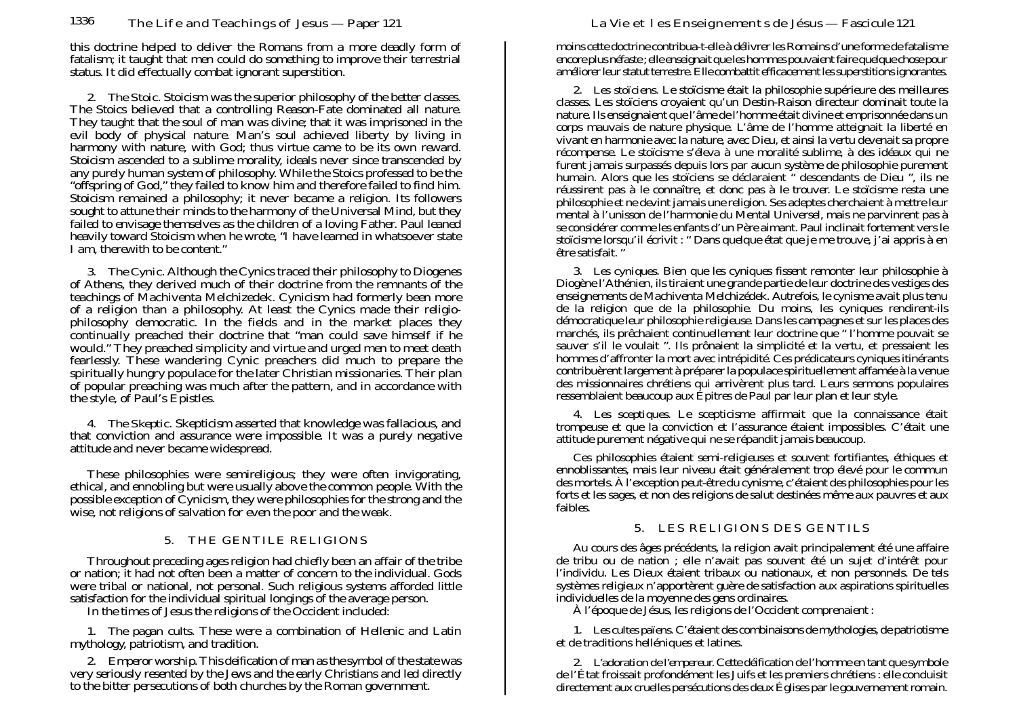this doctrine helped to deliver the Romans from a more deadly form of fatalism; it taught that men could do something to improve their terrestrial status. It did effectually combat ignorant superstition.

2. *The Stoic.* Stoicism was the superior philosophy of the better classes. The Stoics believed that a controlling Reason-Fate dominated all nature. They taught that the soul of man was divine; that it was imprisoned in the evil body of physical nature. Man's soul achieved liberty by living in harmony with nature, with God; thus virtue came to be its own reward. Stoicism ascended to a sublime morality, ideals never since transcended by any purely human system of philosophy. While the Stoics professed to be the "offspring of God," they failed to know him and therefore failed to find him. Stoicism remained a philosophy; it never became a religion. Its followers sought to attune their minds to the harmony of the Universal Mind, but they failed to envisage themselves as the children of a loving Father. Paul leaned heavily toward Stoicism when he wrote, "I have learned in whatsoever state I am, therewith to be content."

3. *The Cynic.* Although the Cynics traced their philosophy to Diogenes of Athens, they derived much of their doctrine from the remnants of the teachings of Machiventa Melchizedek. Cynicism had formerly been more of a religion than a philosophy. At least the Cynics made their religiophilosophy democratic. In the fields and in the market places they continually preached their doctrine that "man could save himself if he would." They preached simplicity and virtue and urged men to meet death fearlessly. These wandering Cynic preachers did much to prepare the spiritually hungry populace for the later Christian missionaries. Their plan of popular preaching was much after the pattern, and in accordance with the style, of Paul's Epistles.

4. *The Skeptic.* Skepticism asserted that knowledge was fallacious, and that conviction and assurance were impossible. It was a purely negative attitude and never became widespread.

These philosophies were semireligious; they were often invigorating, ethical, and ennobling but were usually above the common people. With the possible exception of Cynicism, they were philosophies for the strong and the wise, not religions of salvation for even the poor and the weak.

## 5. THE GENTILE RELIGIONS

Throughout preceding ages religion had chiefly been an affair of the tribe or nation; it had not often been a matter of concern to the individual. Gods were tribal or national, not personal. Such religious systems afforded little satisfaction for the individual spiritual longings of the average person.

In the times of Jesus the religions of the Occident included:

1. *The pagan cults.* These were a combination of Hellenic and Latin mythology, patriotism, and tradition.

2. *Emperor worship.* This deification of man as the symbol of the state was very seriously resented by the Jews and the early Christians and led directly to the bitter persecutions of both churches by the Roman government.

moins cette doctrine contribua-t-elle à délivrer les Romains d'une forme de fatalisme encore plus néfaste ; elle enseignait que les hommes pouvaient faire quelque chose pour améliorer leur statut terrestre. Elle combattit efficacement les superstitions ignorantes.

2. *Les stoïciens.* Le stoïcisme était la philosophie supérieure des meilleures classes. Les stoïciens croyaient qu'un Destin-Raison directeur dominait toute la nature. Ils enseignaient que l'âme de l'homme était divine et emprisonnée dans un corps mauvais de nature physique. L'âme de l'homme atteignait la liberté en vivant en harmonie avec la nature, avec Dieu, et ainsi la vertu devenait sa propre récompense. Le stoïcisme s'éleva à une moralité sublime, à des idéaux qui ne furent jamais surpassés depuis lors par aucun système de philosophie purement humain. Alors que les stoïciens se déclaraient " descendants de Dieu ", ils ne réussirent pas à le connaître, et donc pas à le trouver. Le stoïcisme resta une philosophie et ne devint jamais une religion. Ses adeptes cherchaient à mettre leur mental à l'unisson de l'harmonie du Mental Universel, mais ne parvinrent pas à se considérer comme les enfants d'un Père aimant. Paul inclinait fortement vers le stoïcisme lorsqu'il écrivit : " Dans quelque état que je me trouve, j'ai appris à en être satisfait.

3. *Les cyniques.* Bien que les cyniques fissent remonter leur philosophie à Diogène l'Athénien, ils tiraient une grande partie de leur doctrine des vestiges des enseignements de Machiventa Melchizédek. Autrefois, le cynisme avait plus tenu de la religion que de la philosophie. Du moins, les cyniques rendirent-ils démocratique leur philosophie religieuse. Dans les campagnes et sur les places des marchés, ils prêchaient continuellement leur doctrine que " l'homme pouvait se sauver s'il le voulait ". Ils prônaient la simplicité et la vertu, et pressaient les hommes d'affronter la mort avec intrépidité. Ces prédicateurs cyniques itinérants contribuèrent largement à préparer la populace spirituellement affamée à la venue des missionnaires chrétiens qui arrivèrent plus tard. Leurs sermons populaires ressemblaient beaucoup aux Épitres de Paul par leur plan et leur style.

4. *Les sceptiques.* Le scepticisme affirmait que la connaissance était trompeuse et que la conviction et l'assurance étaient impossibles. C'était une attitude purement négative qui ne se répandit jamais beaucoup.

Ces philosophies étaient semi-religieuses et souvent fortifiantes, éthiques et ennoblissantes, mais leur niveau était généralement trop élevé pour le commun des mortels. À l'exception peut-être du cynisme, c'étaient des philosophies pour les forts et les sages, et non des religions de salut destinées même aux pauvres et aux faibles.

## 5. LES RELIGIONS DES GENTILS

Au cours des âges précédents, la religion avait principalement été une affaire de tribu ou de nation ; elle n'avait pas souvent été un sujet d'intérêt pour l'individu. Les Dieux étaient tribaux ou nationaux, et non personnels. De tels systèmes religieux n'apportèrent guère de satisfaction aux aspirations spirituelles individuelles de la moyenne des gens ordinaires. À l'époque de Jésus, les religions de l'Occident comprenaient :

1. *Les cultes païens.* C'étaient des combinaisons de mythologies, de patriotisme et de traditions helléniques et latines.

2. L'adoration de l'empereur. Cette déffication de l'homme en tant que symbole de l'État froissait profondément les Juifs et les premiers chrétiens : elle conduisit directement aux cruelles persécutions des deux Églises pa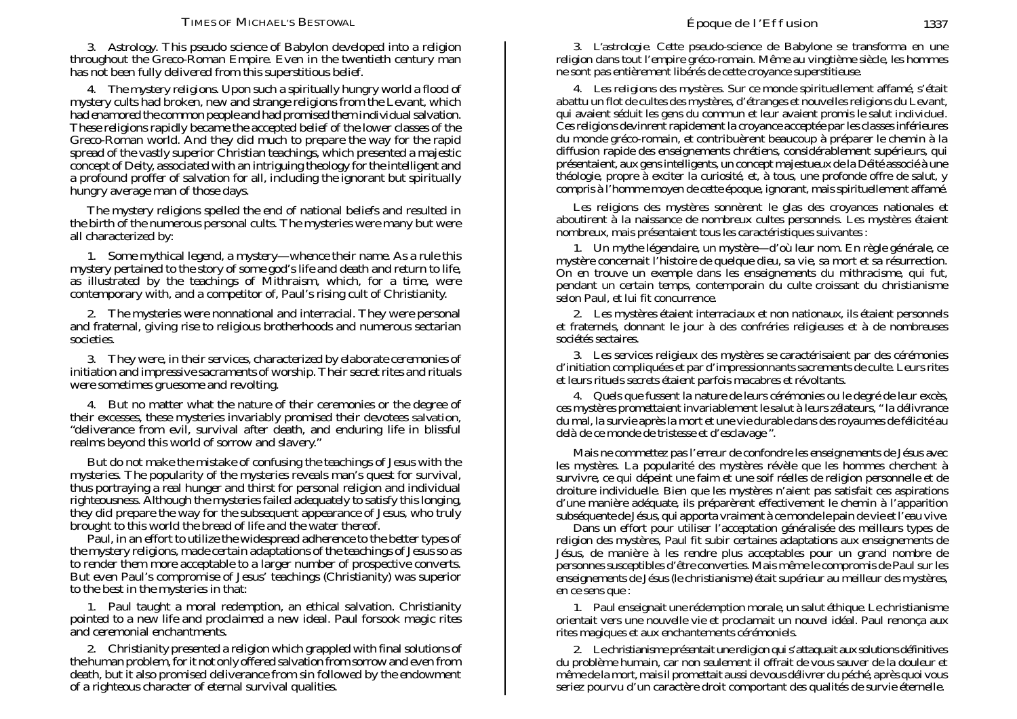## TIMES OF MICHAEL'S

3. *Astrology.* This pseudo science of Babylon developed into a religion throughout the Greco-Roman Empire. Even in the twentieth century man has not been fully delivered from this superstitious belief.

4. *The mystery religions.* Upon such a spiritually hungry world a flood of mystery cults had broken, new and strange religions from the Levant, which had enamored the common people and had promised them *individual*salvation. These religions rapidly became the accepted belief of the lower classes of the Greco-Roman world. And they did much to prepare the way for the rapid spread of the vastly superior Christian teachings, which presented a majestic concept of Deity, associated with an intriguing theology for the intelligent and a profound proffer of salvation for all, including the ignorant but spiritually hungry average man of those days.

The mystery religions spelled the end of national beliefs and resulted in the birth of the numerous personal cults. The mysteries were many but were all characterized by:

1. Some mythical legend, a mystery—whence their name. As a rule this mystery pertained to the story of some god's life and death and return to life, as illustrated by the teachings of Mithraism, which, for a time, were contemporary with, and a competitor of, Paul's rising cult of Christianity.

2. The mysteries were nonnational and interracial. They were personal and fraternal, giving rise to religious brotherhoods and numerous sectarian societies.

3. They were, in their services, characterized by elaborate ceremonies of initiation and impressive sacraments of worship. Their secret rites and rituals were sometimes gruesome and revolting.

4. But no matter what the nature of their ceremonies or the degree of their excesses, these mysteries invariably promised their devotees *salvation,* "deliverance from evil, survival after death, and enduring life in blissful realms beyond this world of sorrow and slavery."

But do not make the mistake of confusing the teachings of Jesus with the mysteries. The popularity of the mysteries reveals man's quest for survival, thus portraying a real hunger and thirst for personal religion and individual righteousness. Although the mysteries failed adequately to satisfy this longing, they did prepare the way for the subsequent appearance of Jesus, who truly brought to this world the bread of life and the water thereof.

Paul, in an effort to utilize the widespread adherence to the better types of the mystery religions, made certain adaptations of the teachings of Jesus so as to render them more acceptable to a larger number of prospective converts. But even Paul's compromise of Jesus' teachings (Christianity) was superior to the best in the mysteries in that:

1. Paul taught a moral redemption, an ethical salvation. Christianity pointed to a new life and proclaimed a new ideal. Paul forsook magic rites and ceremonial enchantments.

2. Christianity presented a religion which grappled with final solutions of the human problem, for it not only offered salvation from sorrow and even from death, but it also promised deliverance from sin followed by the endowment of a righteous character of eternal survival qualities.

## Époque de l'Effusion 1337

3. *L'astrologie.* Cette pseudo-science de Babylone se transforma en une religion dans tout l'empire gréco-romain. Même au vingtième siècle, les hommes ne sont pas entièrement libérés de cette croyance superstitieuse.

4. *Les religions des mystères.* Sur ce monde spirituellement affamé, s'était abattu un flot de cultes des mystères, d'étranges et nouvelles religions du Levant, qui avaient séduit les gens du commun et leur avaient promis le salut *individuel.* Ces religions devinrent rapidement la croyance acceptée par les classes inférieures du monde gréco-romain, et contribuèrent beaucoup à préparer le chemin à la diffusion rapide des enseignements chrétiens, considérablement supérieurs, qui présentaient, aux gens intelligents, un concept majestueux de la Déité associé à une théologie, propre à exciter la curiosité, et, à tous, une profonde offre de salut, y compris à l'homme moyen de cette époque, ignorant, mais spirituellement affamé.

Les religions des mystères sonnèrent le glas des croyances nationales et aboutirent à la naissance de nombreux cultes personnels. Les mystères étaient nombreux, mais présentaient tous les caractéristiques suivantes :

1. Un mythe légendaire, un mystère—d'où leur nom. En règle générale, ce mystère concernait l'histoire de quelque dieu, sa vie, sa mort et sa résurrection. On en trouve un exemple dans les enseignements du mithracisme, qui fut, pendant un certain temps, contemporain du culte croissant du christianisme selon Paul, et lui fit concurrence.

2. Les mystères étaient interraciaux et non nationaux, ils étaient personnels et fraternels, donnant le jour à des confréries religieuses et à de nombreuses sociétés sectaires.

3. Les services religieux des mystères se caractérisaient par des cérémonies d'initiation compliquées et par d'impressionnants sacrements de culte. Leurs rites et leurs rituels secrets étaient parfois macabres et révoltants.

4. Quels que fussent la nature de leurs cérémonies ou le degré de leur excès, ces mystères promettaient invariablement le *salut* à leurs zélateurs, " la délivrance du mal, la survie après la mort et une vie durable dans des royaumes de félicité au delà de ce monde de tristesse et d'esclavage ".

Mais ne commettez pas l'erreur de confondre les enseignements de Jésus avec les mystères. La popularité des mystères révèle que les hommes cherchent à survivre, ce qui dépeint une faim et une soif réelles de religion personnelle et de droiture individuelle. Bien que les mystères n'aient pas satisfait ces aspirations d'une manière adéquate, ils préparèrent effectivement le chemin à l'apparition subséquente de Jésus, qui apporta vraiment à ce monde le pain de vie et l'eau vive.

Dans un effort pour utiliser l'acceptation généralisée des meilleurs types de religion des mystères, Paul fit subir certaines adaptations aux enseignements de Jésus, de manière à les rendre plus acceptables pour un grand nombre de personnes susceptibles d'être converties. Mais même le compromis de Paul sur les enseignements de Jésus (le christianisme) était supérieur au meilleur des mystères, en ce sens que :

1. Paul enseignait une rédemption morale, un salut éthique. Le christianisme orientait vers une nouvelle vie et proclamait un nouvel idéal. Paul renonça aux rites magiques et aux enchantements cérémoniels.

2. Le christianisme présentait une religion qui s'attaquait aux solutions définitives du problème humain, car non seulement il offrait de vous sauver de la douleur et même de la mort, mais il promettait aussi de vous délivrer du péché, après quoi vous seriez pourvu d'un caractère droit comportant des qualités de survie éternelle.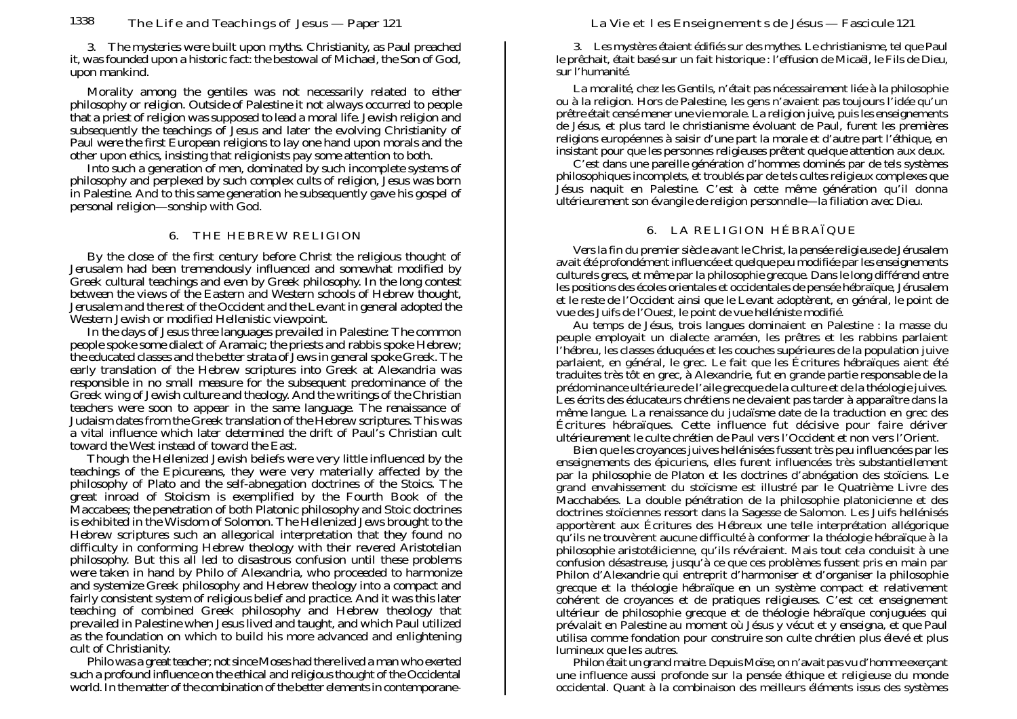3. The mysteries were built upon myths. Christianity, as Paul preached it, was founded upon a historic fact: the bestowal of Michael, the Son of God, upon mankind.

Morality among the gentiles was not necessarily related to either philosophy or religion. Outside of Palestine it not always occurred to people that a priest of religion was supposed to lead a moral life. Jewish religion and subsequently the teachings of Jesus and later the evolving Christianity of Paul were the first European religions to lay one hand upon morals and the other upon ethics, insisting that religionists pay some attention to both.

Into such a generation of men, dominated by such incomplete systems of philosophy and perplexed by such complex cults of religion, Jesus was born in Palestine. And to this same generation he subsequently gave his gospel of personal religion—sonship with God.

## 6. THE HEBREW RELIGION

By the close of the first century before Christ the religious thought of Jerusalem had been tremendously influenced and somewhat modified by Greek cultural teachings and even by Greek philosophy. In the long contest betwee

In the days of Jesus three languages prevailed in Palestine: The common people spoke some dialect of Aramaic; the priests and rabbis spoke Hebrew; the educated classes and the better strata of Jews in general spoke Greek. The early translation of the Hebrew scriptures into Greek at Alexandria was responsible in no small measure for the subsequent predominance of the Greek wing of Jewish culture and theology. And the writings of the Christian teachers were soon to appear in the same language. The renaissance of Judaism dates from the Greek translation of the Hebrew scriptures. This was a vital influence which later determined the drift of Paul's Christian cult toward the West instead of toward the East.

Though the Hellenized Jewish beliefs were very little influenced by the teachings of the Epicureans, they were very materially affected by the philosophy of Plato and the self-abnegation doctrines of the Stoics. The great inroad of Stoicism is exemplified by the Fourth Book of the Maccabees; the penetration of both Platonic philosophy and Stoic doctrines is exhibited in the Wisdom of Solomon. The Hellenized Jews brought to the Hebrew scriptures such an allegorical interpretation that they found no difficulty in conforming Hebrew theology with their revered Aristotelian philosophy. But this all led to disastrous confusion until these problems were taken in hand by Philo of Alexandria, who proceeded to harmonize and systemize Greek philosophy and Hebrew theology into a compact and fairly consistent system of religious belief and practice. And it was this later teaching of combined Greek philosophy and Hebrew theology that prevailed in Palestine when Jesus lived and taught, and which Paul utilized as the foundation on which to build his more advanced and enlightening cult of Christianity.

Philo was a great teacher; not since Moses had there lived a man who exerted such a profound influence on the ethical and religious thought of the Occidental world. In the matter of the combination of the better elements in contemporane-

3. Les mystères étaient édifiés sur des mythes. Le christianisme, tel que Paul le prêchait, était basé sur un fait historique : l'effusion de Micaël, le Fils de Dieu, sur l'humanité.

La moralité, chez les Gentils, n'était pas nécessairement liée à la philosophie ou à la religion. Hors de Palestine, les gens n'avaient pas toujours l'idée qu'un prêtre était censé mener une vie morale. La religion juive, puis les enseignements de Jésus, et plus tard le christianisme évoluant de Paul, furent les premières religions européennes à saisir d'une part la morale et d'autre part l'éthique, en insistant pour que les personnes religieuses prêtent quelque attention aux deux.

C'est dans une pareille génération d'hommes dominés par de tels systèmes philosophiques incomplets, et troublés par de tels cultes religieux complexes que Jésus naquit en Palestine. C'est à cette même génération qu'il donna ultérieurement son évangile de religion personnelle—la filiation avec Dieu.

## 6. LA RELIGION HÉBRAÏQUE

Vers la fin du premier siècle avant le Christ, la pensée religieuse de Jérusalem avait été profondément influencée et quelque peu modifiée par les enseignements culturels grecs, et même par la philosophie grecque. Dans le long différend entre les positions des écoles orientales et occidentales de pensée hébraïque, Jérusalem et le reste de l'Occident ainsi que le Levant adoptèrent, en général, le point de vue des Juifs de l'Ouest, le point de vue helléniste modifié.

Au temps de Jésus, trois langues dominaient en Palestine : la masse du peuple employait un dialecte araméen, les prêtres et les rabbins parlaient l'hébreu, les classes éduquées et les couches supérieures de la population juive parlaient, en général, le grec. Le fait que les Écritures hébraïques aient été traduites très tôt en grec, à Alexandrie, fut en grande partie responsable de la prédominance ultérieure de l'aile grecque de la culture et de la théologie juives. Les écrits des éducateurs chrétiens ne devaient pas tarder à apparaître dans la même langue. La renaissance du judaïsme date de la traduction en grec des Écritures hébraïques. Cette influence fut décisive pour faire dériver ultérieurement le culte chrétien de Paul vers l'Occident et non vers l'Orient.

Bien que les croyances juives hellénisées fussent très peu influencées par les enseignements des épicuriens, elles furent influencées très substantiellement par la philosophie de Platon et les doctrines d'abnégation des stoïciens. Le grand envahissement du stoïcisme est illustré par le Quatrième Livre des Macchabées. La double pénétration de la philosophie platonicienne et des doctrines stoïciennes ressort dans la Sagesse de Salomon. Les Juifs hellénisés apportèrent aux Écritures des Hébreux une telle interprétation allégorique qu'ils ne trouvèrent aucune difficulté à conformer la théologie hébraïque à la philosophie aristotélicienne, qu'ils révéraient. Mais tout cela conduisit à une confusion désastreuse, jusqu'à ce que ces problèmes fussent pris en main par Philon d'Alexandrie qui entreprit d'harmoniser et d'organiser la philosophie grecque et la théologie hébraïque en un système compact et relativement cohérent de croyances et de pratiques religieuses. C'est cet enseignement ultérieur de philosophie grecque et de théologie hébraïque conjuguées qui prévalait en Palestine au moment où Jésus y vécut et y enseigna, et que Paul utilisa comme fondation pour construire son culte chrétien plus élevé et plus lumineux que les autres.

Philon était un grand maitre. Depuis Moïse, on n'avait pas vu d'homme exerçant une influence aussi profonde sur la pensée éthique et religieuse du monde occidental. Quant à la combinaison des meilleurs éléments issus des systèmes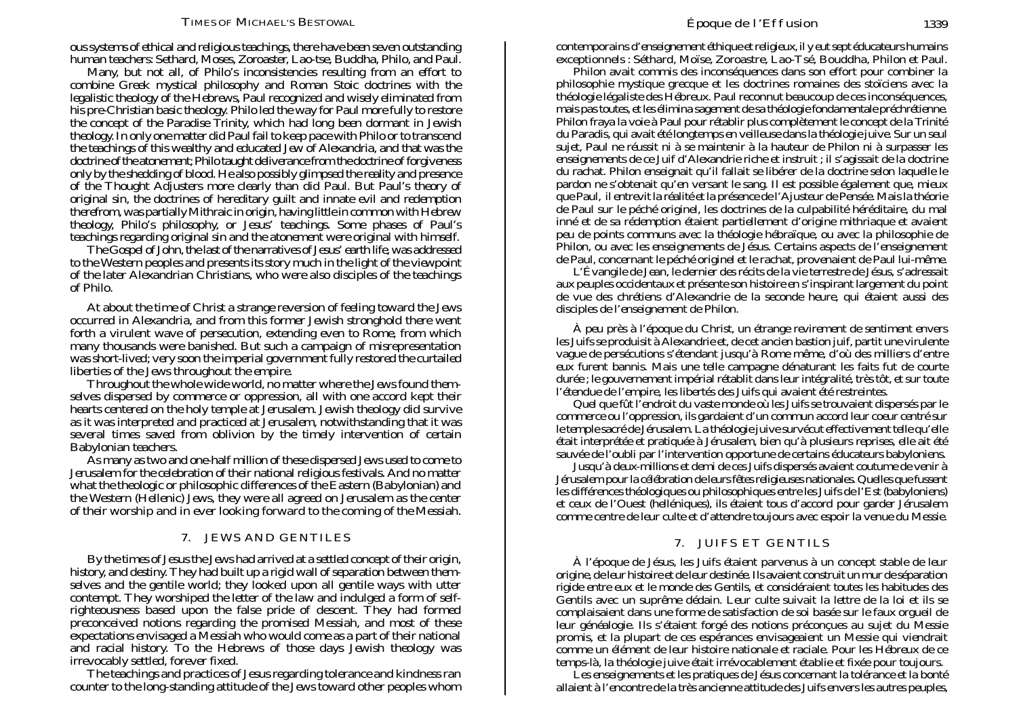## Époque de l'Effusion 1339

#### TIMES OF MICHAEL'S

ous systems of ethical and religious teachings, there have been seven outstanding human teachers: Sethard, Moses, Zoroaster, Lao-tse, Buddha, Philo, and Paul.

Many, but not all, of Philo's inconsistencies resulting from an effort to combine Greek mystical philosophy and Roman Stoic doctrines with the legalistic theology of the Hebrews, Paul recognized and wisely eliminated from his pre-Christian basic theology. Philo led the way for Paul more fully to restore the concept of the Paradise Trinity, which had long been dormant in Jewish theology. In only one matter did Paul fail to keep pace with Philo or to transcend the teachings of this wealthy and educated Jew of Alexandria, and that was the doctrine of the atonement; Philo taught deliverance from the doctrine of forgiveness only by the shedding of blood. He also possibly glimpsed the reality and presence of the Thought Adjusters more clearly than did Paul. But Paul's theory of original sin, the doctrines of hereditary guilt and innate evil and redemption therefrom, was partially Mithraic in origin, having little in common with Hebrew theology, Philo's philosophy, or Jesus' teachings. Some phases of Paul's teachings regarding original sin and the atonement were original with himself.

The Gospel of John, the last of the narratives of Jesus' earth life, was addressed to the Western peoples and presents its story much in the light of the viewpoint of the later Alexandrian Christians, who were also disciples of the teachings of Philo.

At about the time of Christ a strange reversion of feeling toward the Jews occurred in Alexandria, and from this former Jewish stronghold there went forth a virulent wave of persecution, extending even to Rome, from which many thousands were banished. But such a campaign of misrepresentation was short-lived; very soon the imperial government fully restored the curtailed liberties of the Jews throughout the empire.

Throughout the whole wide world, no matter where the Jews found themselves dispersed by commerce or oppression, all with one accord kept their hearts centered on the holy temple at Jerusalem. Jewish theology did survive as it was interpreted and practiced at Jerusalem, notwithstanding that it was several times saved from oblivion by the timely intervention of certain Babylonian teachers.

As many as two and one-half million of these dispersed Jews used to come to Jerusalem for the celebration of their national religious festivals. And no matter<br>what the theologic or philosophic differences of the Eastern (Babylonian) and<br>the Western (Hellenic) Jews, they were all agreed on Jerusale of their worship and in ever looking forward to the coming of the Messiah.

#### 7. JEWS AND GENTILES

By the times of Jesus the Jews had arrived at a settled concept of their origin, history, and destiny. They had built up a rigid wall of separation between themselves and the gentile world; they looked upon all gentile ways with utter contempt. They worshiped the letter of the law and indulged a form of selfrighteousness based upon the false pride of descent. They had formed preconceived notions regarding the promised Messiah, and most of these expectations envisaged a Messiah who would come as a part of their national and racial history. To the Hebrews of those days Jewish theology was irrevocably settled, forever fixed.

The teachings and practices of Jesus regarding tolerance and kindness ran counter to the long-standing attitude of the Jews toward other peoples whom contemporains d'enseignement éthique et religieux, il y eut sept éducateurs humains exceptionnels : Séthard, Moïse, Zoroastre, Lao-Tsé, Bouddha, Philon et Paul.

Philon avait commis des inconséquences dans son effort pour combiner la philosophie mystique grecque et les doctrines romaines des stoïciens avec la théologie légaliste des Hébreux. Paul reconnut beaucoup de ces inconséquences, mais pas toutes, et les élimina sagement de sa théologie fondamentale préchrétienne. Philon fraya la voie à Paul pour rétablir plus complètement le concept de la Trinité du Paradis, qui avait été longtemps en veilleuse dans la théologie juive. Sur un seul sujet, Paul ne réussit ni à se maintenir à la hauteur de Philon ni à surpasser les enseignements de ce Juif d'Alexandrie riche et instruit ; il s'agissait de la doctrine du rachat. Philon enseignait qu'il fallait se libérer de la doctrine selon laquelle le pardon ne s'obtenait qu'en versant le sang. Il est possible également que, mieux que Paul, il entrevit la réalité et la présence de l'Ajusteur de Pensée. Mais la théorie de Paul sur le péché originel, les doctrines de la culpabilité héréditaire, du mal inné et de sa rédemption étaient partiellement d'origine mithriaque et avaient peu de points communs avec la théologie hébraïque, ou avec la philosophie de Philon, ou avec les enseignements de Jésus. Certains aspects de l'enseignement de Paul, concernant le péché originel et le rachat, provenaient de Paul lui-même.

L'Évangile de Jean, le dernier des récits de la vie terrestre de Jésus, s'adressait aux peuples occidentaux et présente son histoire en s'inspirant largement du point de vue des chrétiens d'Alexandrie de la seconde heure, qui étaient aussi des disciples de l'enseignement de Philon.

À peu près à l'époque du Christ, un étrange revirement de sentiment envers les Juifs se produisit à Alexandrie et, de cet ancien bastion juif, partit une virulente vague de persécutions s'étendant jusqu'à Rome même, d'où des milliers d'entre eux furent bannis. Mais une telle campagne dénaturant les faits fut de courte durée ; le gouvernement impérial rétablit dans leur intégralité, très tôt, et sur toute l'étendue de l'empire, les libertés des Juifs qui avaient été restreintes.

Quel que fût l'endroit du vaste monde où les Juifs se trouvaient dispersés par le commerce ou l'oppression, ils gardaient d'un commun accord leur coeur centré sur le temple sacré de Jérusalem. La théologie juive survécut effectivement telle qu'elle était interprétée et pratiquée à Jérusalem, bien qu'à plusieurs reprises, elle ait été sauvée de l'oubli par l'intervention opportune de certains éducateurs babyloniens.

Jusqu'à deux-millions et demi de ces Juifs dispersés avaient coutume de venir à Jérusalem pour la célébration de leurs fêtes religieuses nationales. Quelles que fussent les différences théologiques ou philosophiques entre les Juifs de l'Est (babyloniens) et ceux de l'Ouest (helléniques), ils étaient tous d'accord pour garder Jérusalem comme centre de leur culte et d'attendre toujours avec espoir la venue du Messie.

## 7. JUIFS ET GENTILS

À l'époque de Jésus, les Juifs étaient parvenus à un concept stable de leur origine, de leur histoire et de leur destinée. Ils avaient construit un mur de séparation rigide entre eux et le monde des Gentils, et considéraient toutes les habitudes des Gentils avec un suprême dédain. Leur culte suivait la lettre de la loi et ils se complaisaient dans une forme de satisfaction de soi basée sur le faux orgueil de leur généalogie. Ils s'étaient forgé des notions préconçues au sujet du Messie promis, et la plupart de ces espérances envisageaient un Messie qui viendrait comme un élément de leur histoire nationale et raciale. Pour les Hébreux de ce temps-là, la théologie juive était irrévocablement établie et fixée pour toujours.

Les enseignements et les pratiques de Jésus concernant la tolérance et la bonté allaient à l'encontre de la très ancienne attitude des Juifs envers les autres peuples,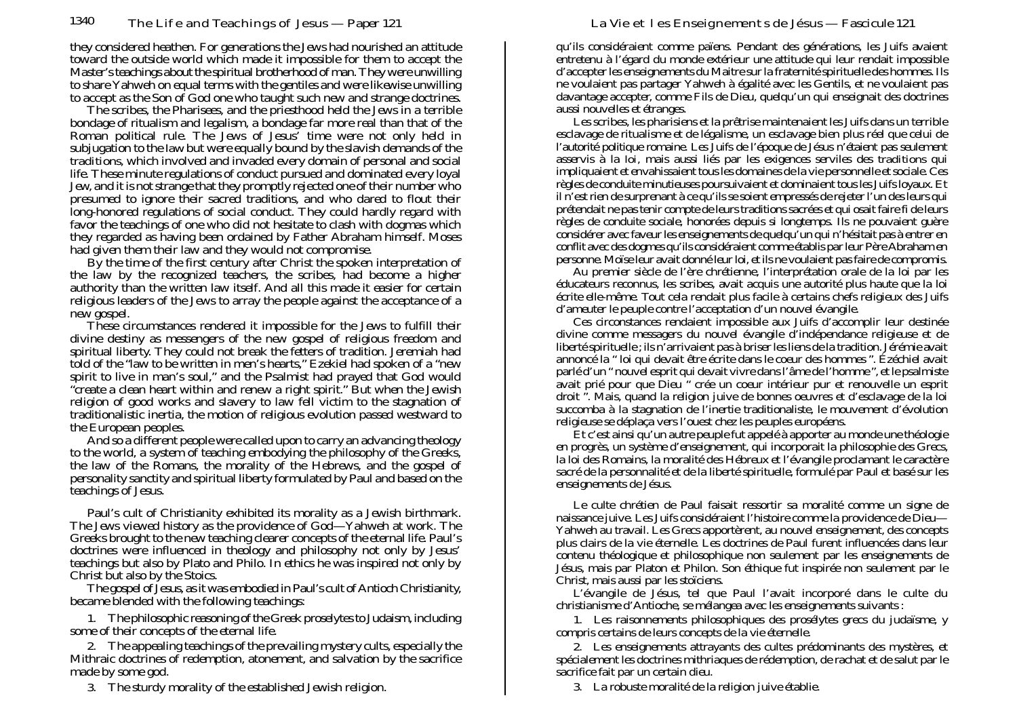they considered heathen. For generations the Jews had nourished an attitude toward the outside world which made it impossible for them to accept the Master's teachings about the spiritual brotherhood of man. They were unwilling to share Yahweh on equal terms with the gentiles and were likewise unwilling to accept as the Son of God one who taught such new and strange doctrines.

The scribes, the Pharisees, and the priesthood held the Jews in a terrible bondage of ritualism and legalism, a bondage far more real than that of the Roman political rule. The Jews of Jesus' time were not only held in subjugation to the *law* but were equally bound by the slavish demands of the *traditions,* which involved and invaded every domain of personal and social life. These minute regulations of conduct pursued and dominated every loyal Jew, and it is not strange that they promptly rejected one of their number who presumed to ignore their sacred traditions, and who dared to flout their long-honored regulations of social conduct. They could hardly regard with favor the teachings of one who did not hesitate to clash with dogmas which they regarded as having been ordained by Father Abraham himself. Moses had given them their law and they would not compromise.

By the time of the first century after Christ the spoken interpretation of the law by the recognized teachers, the scribes, had become a higher authority than the written law itself. And all this made it easier for certain religious leaders of the Jews to array the people against the acceptance of a new gospel.

These circumstances rendered it impossible for the Jews to fulfill their divine destiny as messengers of the new gospel of religious freedom and spiritual liberty. They could not break the fetters of tradition. Jeremiah had told of the "law to be written in men's hearts," Ezekiel had spoken of a "new spirit to live in man's soul," and the Psalmist had prayed that God would "create a clean heart within and renew a right spirit." But when the Jewish religion of good works and slavery to law fell victim to the stagnation of traditionalistic inertia, the motion of religious evolution passed westward to the European peoples.

And so a different people were called upon to carry an advancing theology to the world, a system of teaching embodying the philosophy of the Greeks, the law of the Romans, the morality of the Hebrews, and the gospel of personality sanctity and spiritual liberty formulated by Paul and based on the teachings of Jesus.

Paul's cult of Christianity exhibited its morality as a Jewish birthmark.<br>The Jews viewed history as the providence of God—Yahweh at work. The<br>Greeks brought to the new teaching clearer concepts of the eternal life. Paul's

The gospel of Jesus, as it was embodied in Paul's cult of Antioch Christianity, became blended with the following teachings:

1. The philosophic reasoning of the Greek proselytes to Judaism, including some of their concepts of the eternal life.

2. The appealing teachings of the prevailing mystery cults, especially the Mithraic doctrines of redemption, atonement, and salvation by the sacrifice made by some god.

3. The sturdy morality of the established Jewish religion.

qu'ils considéraient comme païens. Pendant des générations, les Juifs avaient entretenu à l'égard du monde extérieur une attitude qui leur rendait impossible d'accepter les enseignements du Maitre sur la fraternité spirituelle des hommes. Ils ne voulaient pas partager Yahweh à égalité avec les Gentils, et ne voulaient pas davantage accepter, comme Fils de Dieu, quelqu'un qui enseignait des doctrines aussi nouvelles et étranges.

Les scribes, les pharisiens et la prêtrise maintenaient les Juifs dans un terrible esclavage de ritualisme et de légalisme, un esclavage bien plus réel que celui de l'autorité politique romaine. Les Juifs de l'époque de Jésus n'étaient pas seulement asservis à la *loi,* mais aussi liés par les exigences serviles des *traditions* qui impliquaient et envahissaient tous les domaines de la vie personnelle et sociale. Ces règles de conduite minutieuses poursuivaient et dominaient tous les Juifs loyaux. Et il n'est rien de surprenant à ce qu'ils se soient empressés de rejeter l'un des leurs qui prétendait ne pas tenir compte de leurs traditions sacrées et qui osait faire fi de leurs règles de conduite sociale, honorées depuis si longtemps. Ils ne pouvaient guère considérer avec faveur les enseignements de quelqu'un qui n'hésitait pas à entrer en conflit avec des dogmes qu'ils considéraient comme établis par leur Père Abraham en personne. Moïse leur avait donné leur loi, et ils ne voulaient pas faire de compromis.

Au premier siècle de l'ère chrétienne, l'interprétation orale de la loi par les éducateurs reconnus, les scribes, avait acquis une autorité plus haute que la loi écrite elle-même. Tout cela rendait plus facile à certains chefs religieux des Juifs d'ameuter le peuple contre l'acceptation d'un nouvel évangile.

Ces circonstances rendaient impossible aux Juifs d'accomplir leur destinée divine comme messagers du nouvel évangile d'indépendance religieuse et de liberté spirituelle ; ils n'arrivaient pas à briser les liens de la tradition. Jérémie avait annoncé la " loi qui devait être écrite dans le coeur des hommes ". Ézéchiel avait parlé d'un " nouvel esprit qui devait vivre dans l'âme de l'homme ", et le psalmiste avait prié pour que Dieu " crée un coeur intérieur pur et renouvelle un esprit droit ". Mais, quand la religion juive de bonnes oeuvres et d'esclavage de la loi succomba à la stagnation de l'inertie traditionaliste, le mouvement d'évolution religieuse se déplaça vers l'ouest chez les peuples européens.

Et c'est ainsi qu'un autre peuple fut appelé à apporter au monde une théologie en progrès, un système d'enseignement, qui incorporait la philosophie des Grecs, la loi des Romains, la moralité des Hébreux et l'évangile proclamant le caractère sacré de la personnalité et de la liberté spirituelle, formulé par Paul et basé sur les enseignements de Jésus.

Le culte chrétien de Paul faisait ressortir sa moralité comme un signe de naissance juive. Les Juifs considéraient l'histoire comme la providence de Dieu— Yahweh au travail. Les Grecs apportèrent, au nouvel enseignement, des concepts plus clairs de la vie éternelle. Les doctrines de Paul furent influencées dans leur contenu théologique et philosophique non seulement par les enseignements de Jésus, mais par Platon et Philon. Son éthique fut inspirée non seulement par le Christ, mais aussi par les stoïciens.

L'évangile de Jésus, tel que Paul l'avait incorporé dans le culte du christianisme d'Antioche, se mélangea avec les enseignements suivants :

1. Les raisonnements philosophiques des prosélytes grecs du judaïsme, y compris certains de leurs concepts de la vie éternelle.

2. Les enseignements attrayants des cultes prédominants des mystères, et spécialement les doctrines mithriaques de rédemption, de rachat et de salut par le sacrifice fait par un certain dieu.

3. La robuste moralité de la religion juive établie.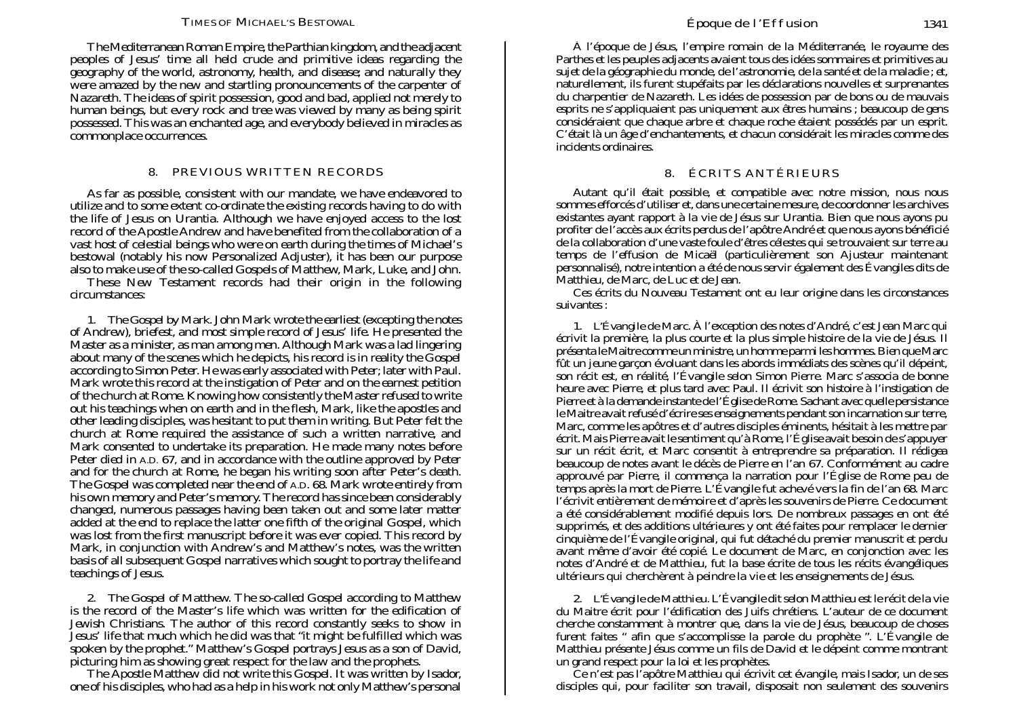## TIMES OF MICHAEL'S

The Mediterranean Roman Empire, the Parthian kingdom, and the adjacent peoples of Jesus' time all held crude and primitive ideas regarding the geography of the world, astronomy, health, and disease; and naturally they were amazed by the new and startling pronouncements of the carpenter of Nazareth. The ideas of spirit possession, good and bad, applied not merely to human beings, but every rock and tree was viewed by many as being spirit possessed. This was an enchanted age, and everybody believed in miracles as commonplace occurrences.

## 8. PREVIOUS WRITTEN RECORDS

As far as possible, consistent with our mandate, we have endeavored to utilize and to some extent co-ordinate the existing records having to do with the life of Jesus on Urantia. Although we have enjoyed access to the lost record of the Apostle Andrew and have benefited from the collaboration of a vast host of celestial beings who were on earth during the times of Michael's bestowal (notably his now Personalized Adjuster), it has been our purpose also to make use of the so-called Gospels of Matthew, Mark, Luke, and John.

These New Testament records had their origin in the following circumstances:

1. *The Gospel by Mark.* John Mark wrote the earliest (excepting the notes of Andrew), briefest, and most simple record of Jesus' life. He presented the Master as a minister, as man among men. Although Mark was a lad lingering about many of the scenes which he depicts, his record is in reality the Gospel according to Simon Peter. He was early associated with Peter; later with Paul. Mark wrote this record at the instigation of Peter and on the earnest petition of the church at Rome. Knowing how consistently the Master refused to write out his teachings when on earth and in the flesh, Mark, like the apostles and other leading disciples, was hesitant to put them in writing. But Peter felt the church at Rome required the assistance of such a written narrative, and Mark consented to undertake its preparation. He made many notes before Peter died in A.D. 67, and in accordance with the outline approved by Peter and for the church at Rome, he began his writing soon after Peter's death. The Gospel was completed near the end of A.D. 68. Mark wrote entirely from his own memory and Peter's memory. The record has since been considerably changed, numerous passages having been taken out and some later matter added at the end to replace the latter one fifth of the original Gospel, which was lost from the first manuscript before it was ever copied. This record by Mark, in conjunction with Andrew's and Matthew's notes, was the written basis of all subsequent Gospel narratives which sought to portray the life and teachings of Jesus.

2. *The Gospel of Matthew.* The so-called Gospel according to Matthew is the record of the Master's life which was written for the edification of Jewish Christians. The author of this record constantly seeks to show in Jesus' life that much which he did was that "it might be fulfilled which was spoken by the prophet." Matthew's Gospel portrays Jesus as a son of David, picturing him as showing great respect for the law and the prophets.

The Apostle Matthew did not write this Gospel. It was written by Isador, one of his disciples, who had as a help in his work not only Matthew's personal

À l'époque de Jésus, l'empire romain de la Méditerranée, le royaume des Parthes et les peuples adjacents avaient tous des idées sommaires et primitives au sujet de la géographie du monde, de l'astronomie, de la santé et de la maladie ; et, naturellement, ils furent stupéfaits par les déclarations nouvelles et surprenantes du charpentier de Nazareth. Les idées de possession par de bons ou de mauvais esprits ne s'appliquaient pas uniquement aux êtres humains ; beaucoup de gens considéraient que chaque arbre et chaque roche étaient possédés par un esprit. C'était là un âge d'enchantements, et chacun considérait les miracles comme des incidents ordinaires.

## 8. ÉCRITS ANTÉRIEURS

Autant qu'il était possible, et compatible avec notre mission, nous nous sommes efforcés d'utiliser et, dans une certaine mesure, de coordonner les archives existantes ayant rapport à la vie de Jésus sur Urantia. Bien que nous ayons pu profiter de l'accès aux écrits perdus de l'apôtre André et que nous ayons bénéficié de la collaboration d'une vaste foule d'êtres célestes qui se trouvaient sur terre au temps de l'effusion de Micaël (particulièrement son Ajusteur maintenant personnalisé), notre intention a été de nous servir également des Évangiles dits de Matthieu, de Marc, de Luc et de Jean.

Ces écrits du Nouveau Testament ont eu leur origine dans les circonstances suivantes :

1. *L'Évangile de Marc.* À l'exception des notes d'André, c'est Jean Marc qui écrivit la première, la plus courte et la plus simple histoire de la vie de Jésus. Il présenta le Maitre comme un ministre, un homme parmi les hommes. Bien que Marc fût un jeune garçon évoluant dans les abords immédiats des scènes qu'il dépeint, son récit est, en réalité, l'Évangile selon Simon Pierre. Marc s'associa de bonne Pierre et à la demande instante de l'Église de Rome. Sachant avec quelle persistance le Maitre avait refusé d'écrire ses enseignements pendant son incarnation sur terre, Marc, comme les apôtres et d'autres disciples éminents, hésitait à les mettre par écrit. Mais Pierre avait le sentiment qu'à Rome, l'Église avait besoin de s'appuyer sur un récit écrit, et Marc consentit à entreprendre sa préparation. Il rédigea beaucoup de notes avant le décès de Pierre en l'an 67. Conformément au cadre approuvé par Pierre, il commença la narration pour l'Église de Rome peu de temps après la mort de Pierre. L'Évangile fut achevé vers la fin de l'an <sup>68</sup>. Marc l'écrivit entièrement de mémoire et d'après les souvenirs de Pierre. Ce document a été considérablement modifié depuis lors. De nombreux passages en ont été cinquième de l'Évangile original, qui fut détaché du premier manuscrit et perdu avant même d'avoir été copié. Le document de Marc, en conjonction avec les notes d'André et de Matthieu, fut la base écrite de tous les récits évangéliques ultérieurs qui cherchèrent à peindre la vie et les enseignements de Jésus.

2. *L'Évangile de Matthieu.* L'Évangile dit selon Matthieu est le récit de la vie du Maitre écrit pour l'édification des Juifs chrétiens. L'auteur de ce document cherche constamment à montrer que, dans la vie de Jésus, beaucoup de choses furent faites " afin que s'accomplisse la parole du prophète ". L'Évangile de Matthieu présente Jésus comme un fils de David et le dépeint comme montrant un grand respect pour la loi et les prophètes.

Ce n'est pas l'apôtre Matthieu qui écrivit cet évangile, mais Isador, un de ses disciples qui, pour faciliter son travail, disposait non seulement des souvenirs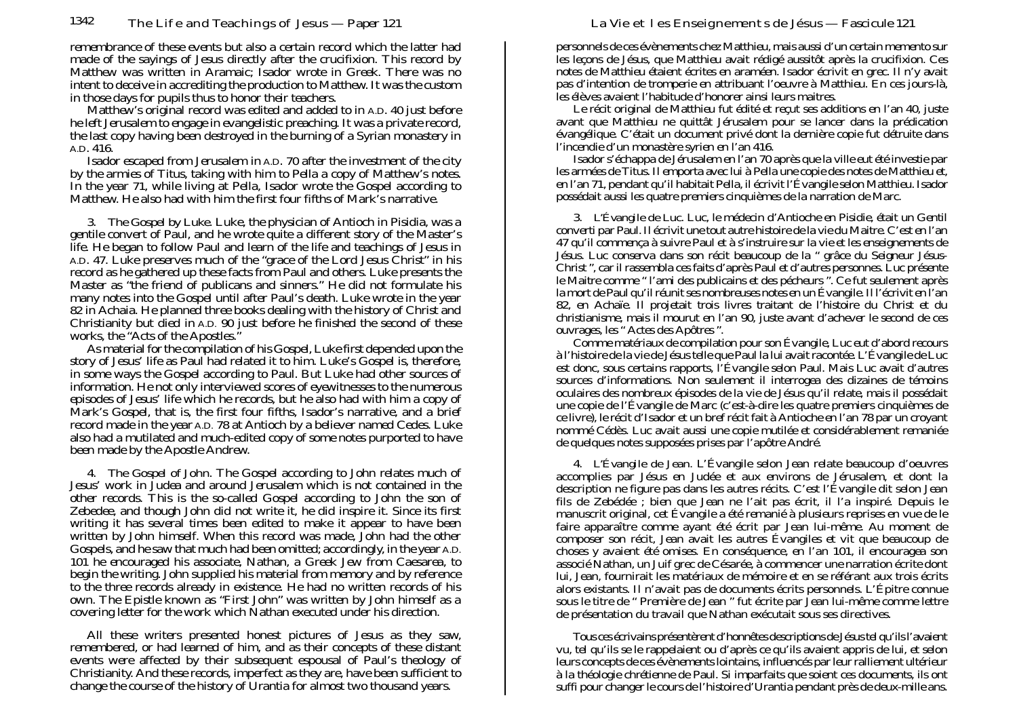remembrance of these events but also a certain record which the latter had made of the sayings of Jesus directly after the crucifixion. This record by Matthew was written in Aramaic; Isador wrote in Greek. There was no intent to deceive in accrediting the production to Matthew. It was the custom in those days for pupils thus to honor their teachers.

Matthew's original record was edited and added to in A.D. 40 just before he left Jerusalem to engage in evangelistic preaching. It was a private record, the last copy having been destroyed in the burning of a Syrian monastery in A.D. 416.

Isador escaped from Jerusalem in A.D. 70 after the investment of the city by the armies of Titus, taking with him to Pella a copy of Matthew's notes. In the year 71, while living at Pella, Isador wrote the Gospel according to Matthew. He also had with him the first four fifths of Mark's narrative.

3. *The Gospel by Luke.* Luke, the physician of Antioch in Pisidia, was a gentile convert of Paul, and he wrote quite a different story of the Master's life. He began to follow Paul and learn of the life and teachings of Jesus in A.D. 47. Luke preserves much of the "grace of the Lord Jesus Christ" in his record as he gathered up these facts from Paul and others. Luke presents the Master as "the friend of publicans and sinners." He did not formulate his many notes into the Gospel until after Paul's death. Luke wrote in the year 82 in Achaia. He planned three books dealing with the history of Christ and Christianity but died in A.D. 90 just before he finished the second of these works, the "Acts of the Apostles."

As material for the compilation of his Gospel, Luke first depended upon the story of Jesus' life as Paul had related it to him. Luke's Gospel is, therefore, in some ways the Gospel according to Paul. But Luke had other sources of information. He not only interviewed scores of eyewitnesses to the numerous episodes of Jesus' life which he records, but he also had with him a copy of Mark's Gospel, that is, the first four fifths, Isador's narrative, and a brief record made in the year A.D. 78 at Antioch by a believer named Cedes. Luke also had a mutilated and much-edited copy of some notes purported to have been made by the Apostle Andrew.

4. *The Gospel of John.* The Gospel according to John relates much of Jesus' work in Judea and around Jerusalem which is not contained in the other records. This is the so-called Gospel according to John the son of Zebedee, and though John did not write it, he did inspire it. Since its first writing it has several times been edited to make it appear to have been written by John himself. When this record was made, John had the other Gospels, and he saw that much had been omitted; accordingly, in the year A.D. 101 he encouraged his associate, Nathan, a Greek Jew from Caesarea, to begin the writing. John supplied his material from memory and by reference to the three records already in existence. He had no written records of his own. The Epistle known as "First John" was written by John himself as a covering letter for the work which Nathan executed under his direction.

All these writers presented honest pictures of Jesus as they saw, remembered, or had learned of him, and as their concepts of these distant events were affected by their subsequent espousal of Paul's theology of Christianity. And these records, imperfect as they are, have been sufficient to change the course of the history of Urantia for almost two thousand years.

personnels de ces évènements chez Matthieu, mais aussi d'un certain memento sur les leçons de Jésus, que Matthieu avait rédigé aussitôt après la crucifixion. Ces notes de Matthieu étaient écrites en araméen. Isador écrivit en grec. Il n'y avait pas d'intention de tromperie en attribuant l'oeuvre à Matthieu. En ces jours-là, les élèves avaient l'habitude d'honorer ainsi leurs maitres.

Le récit original de Matthieu fut édité et reçut ses additions en l'an 40, juste avant que Matthieu ne quittât Jérusalem pour se lancer dans la prédication évangélique. C'était un document privé dont la dernière copie fut détruite dans l'incendie d'un monastère syrien en l'an 416.

Isador s'échappa de Jérusalem en l'an 70 après que la ville eut été investie par les armées de Titus. Il emporta avec lui à Pella une copie des notes de Matthieu et, en l'an <sup>71</sup>, pendant qu'il habitait Pella, il écrivit l'Évangile selon Matthieu. Isador possédait aussi les quatre premiers cinquièmes de la narration de Marc.

3. *L'Évangile de Luc.* Luc, le médecin d'Antioche en Pisidie, était un Gentil converti par Paul. Il écrivit une tout autre histoire de la vie du Maitre. C'est en l'an 47 qu'il commença à suivre Paul et à s'instruire sur la vie et les enseignements de Jésus. Luc conserva dans son récit beaucoup de la " grâce du Seigneur Jésus-Christ ", car il rassembla ces faits d'après Paul et d'autres personnes. Luc présente le Maitre comme " l'ami des publicains et des pécheurs ". Ce fut seulement après<br>la mort de Paul qu'il réunit ses nombreuses notes en un Évangile. Il l'écrivit en l'an 82, en Achaïe. Il projetait trois livres traitant de l'histoire du Christ et du christianisme, mais il mourut en l'an 90, juste avant d'achever le second de ces

ouvrages, les " Actes des Apôtres ".<br>Comme matériaux de compilation pour son Évangile, Luc eut d'abord recours<br>à l'histoire de la vie de Jésus telle que Paul la lui avait racontée. L'Évangile de Luc<br>est donc, sous certains sources d'informations. Non seulement il interrogea des dizaines de témoins oculaires des nombreux épisodes de la vie de Jésus qu'il relate, mais il possédait une copie de l'Évangile de Marc (c'est-à-dire les quatre premiers cinquièmes de ce livre), le récit d'Isador et un bref récit fait à Antioche en l'an 78 par un croyant nommé Cédès. Luc avait aussi une copie mutilée et considérablement remaniée de quelques notes supposées prises par l'apôtre André.

4. *L'Évangile de Jean.* L'Évangile selon Jean relate beaucoup d'oeuvres accomplies par Jésus en Judée et aux environs de Jérusalem, et dont la description ne figure pas dans les autres récits. C'est l'Évangile dit selon Jean fils de Zebédée ; bien que Jean ne l'ait pas écrit, il l'a inspiré. Depuis le manuscrit original, cet Évangile a été remanié à plusieurs reprises en vue de le faire apparaître comme ayant été écrit par Jean lui-même. Au moment de composer son récit, Jean avait les autres Évangiles et vit que beaucoup de choses y avaient été omises. En conséquence, en l'an 101, il encouragea son associé Nathan, un Juif grec de Césarée, à commencer une narration écrite dont lui, Jean, fournirait les matériaux de mémoire et en se référant aux trois écrits alors existants. Il n'avait pas de documents écrits personnels. L'Épitre connue sous le titre de " Première de Jean " fut écrite par Jean lui-même comme lettre de présentation du travail que Nathan exécutait sous ses directives.

Tous ces écrivains présentèrent d'honnêtes descriptions de Jésus tel qu'ils l'avaient vu, tel qu'ils se le rappelaient ou d'après ce qu'ils avaient appris de lui, et selon leurs concepts de ces évènements lointains, influencés par leur ralliement ultérieur à la théologie chrétienne de Paul. Si imparfaits que soient ces documents, ils ont suffi pour changer le cours de l'histoire d'Urantia pendant près de deux-mille ans.